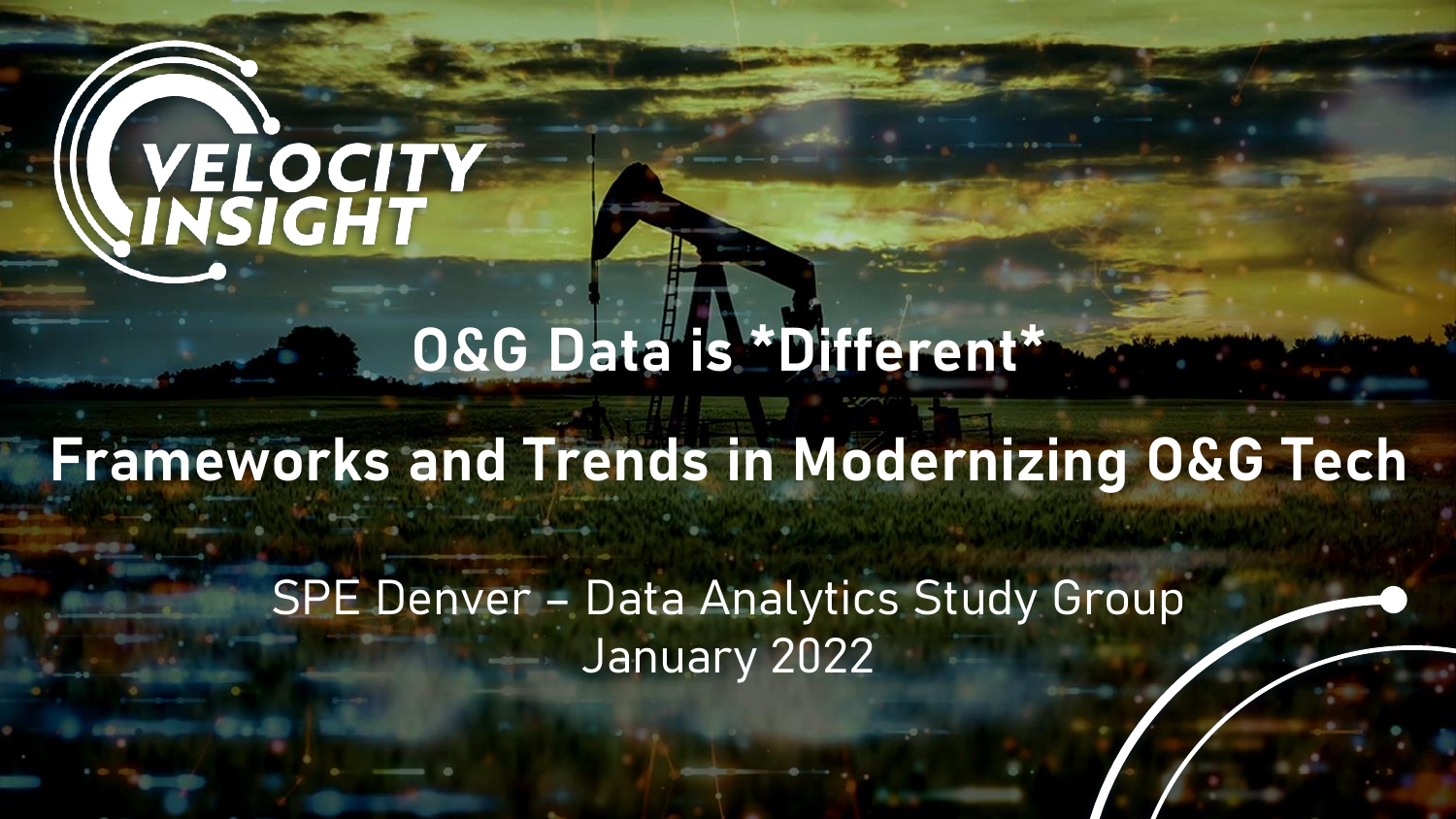# WELOCITY

#### **O&G Data is \*Different\***

#### **Frameworks and Trends in Modernizing O&G Tech**

SPE Denver – Data Analytics Study Group January 2022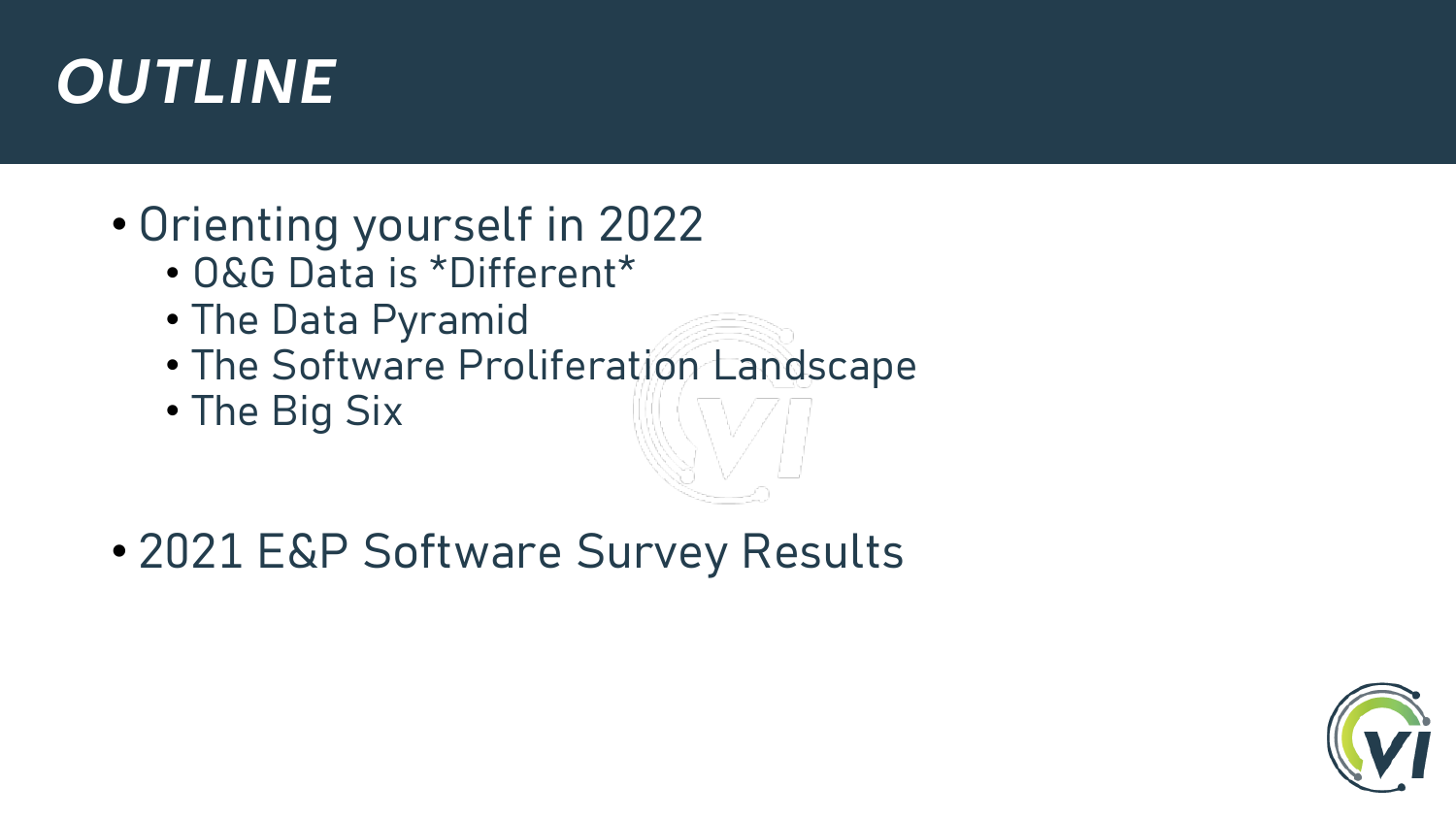#### *OUTLINE*

- Orienting yourself in 2022
	- O&G Data is \*Different\*
	- The Data Pyramid
	- The Software Proliferation Landscape
	- The Big Six

• 2021 E&P Software Survey Results

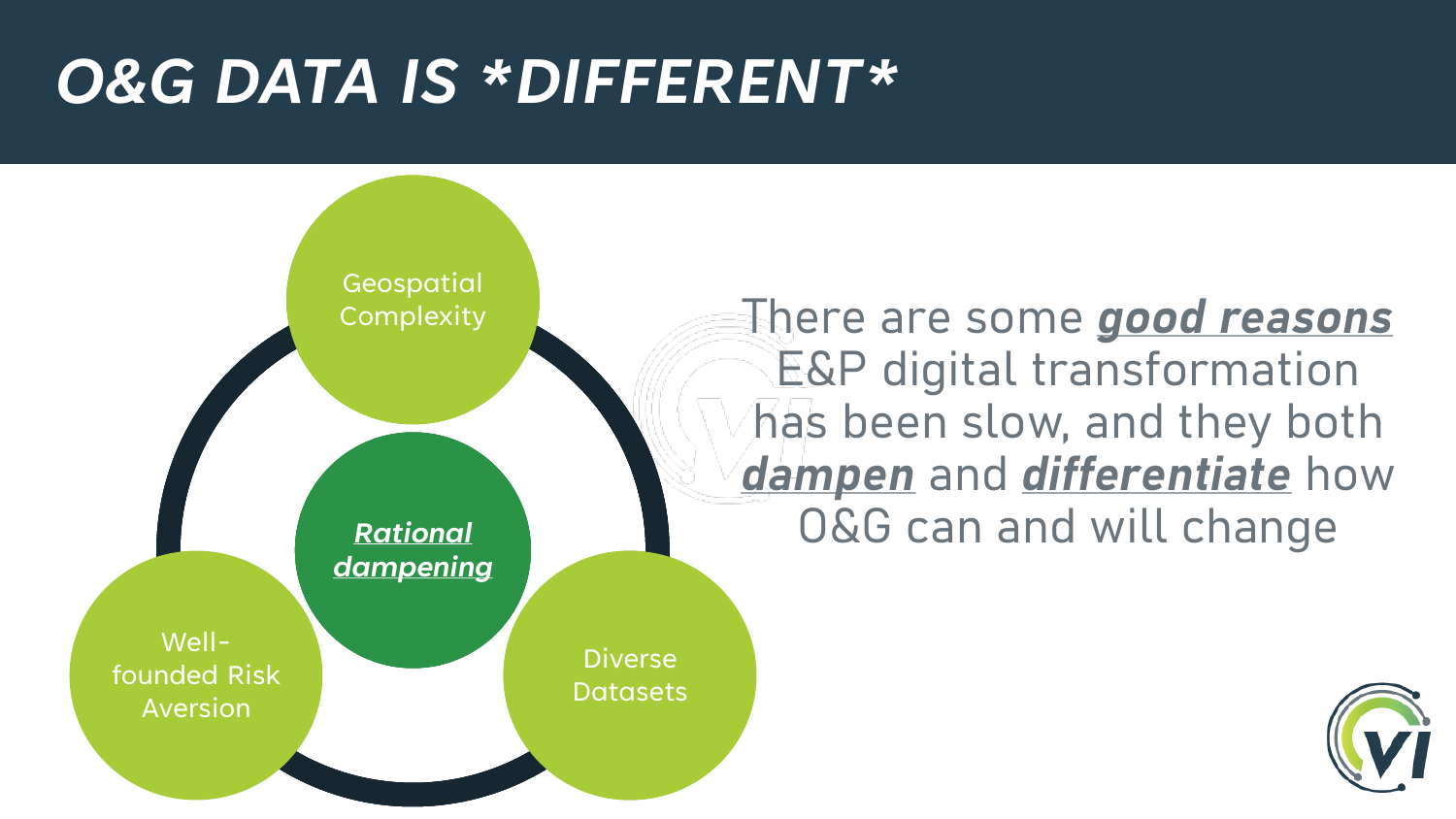#### *O&G DATA IS \*DIFFERENT\**



There are some *good reasons* E&P digital transformation has been slow, and they both *dampen* and *differentiate* how O&G can and will change

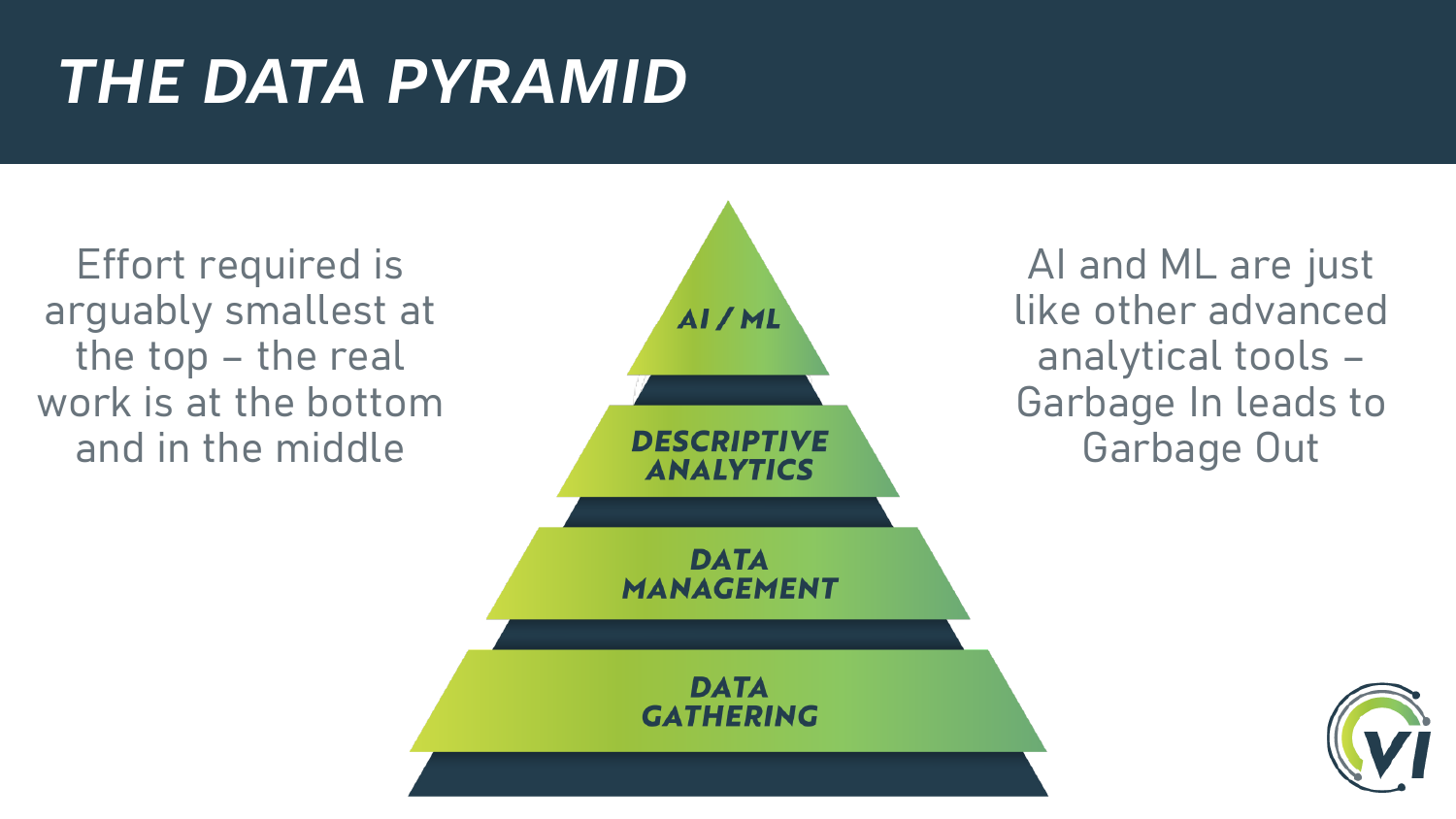## *THE DATA PYRAMID*

Effort required is arguably smallest at the top – the real work is at the bottom and in the middle



AI and ML are just like other advanced analytical tools – Garbage In leads to Garbage Out

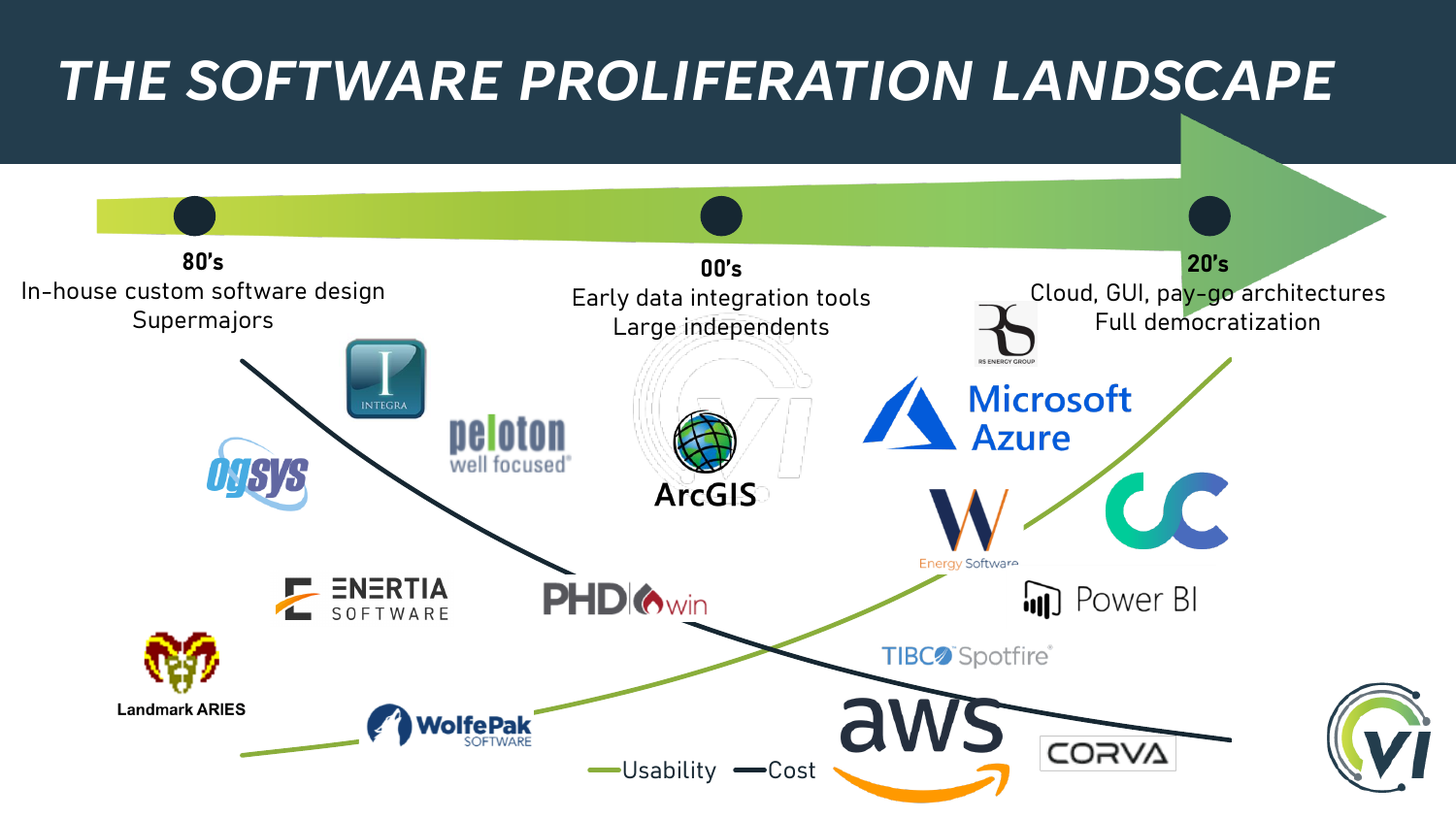#### *THE SOFTWARE PROLIFERATION LANDSCAPE* **80's 20's 00's** In-house custom software design Cloud, GUI, pay-go architectures Early data integration tools **Supermajors** Full democratizationLarge independents **Microsoft** INTEGRA neloton **Azure** well focused **ArcGIS** UC Energy Software **PHD** *Owin* **ENERTIA in** Power BI SOFTWARE TIBC<sup>o</sup> Spotfire® **Landmark ARIES NolfePak** CORVA -Usability **-**Cost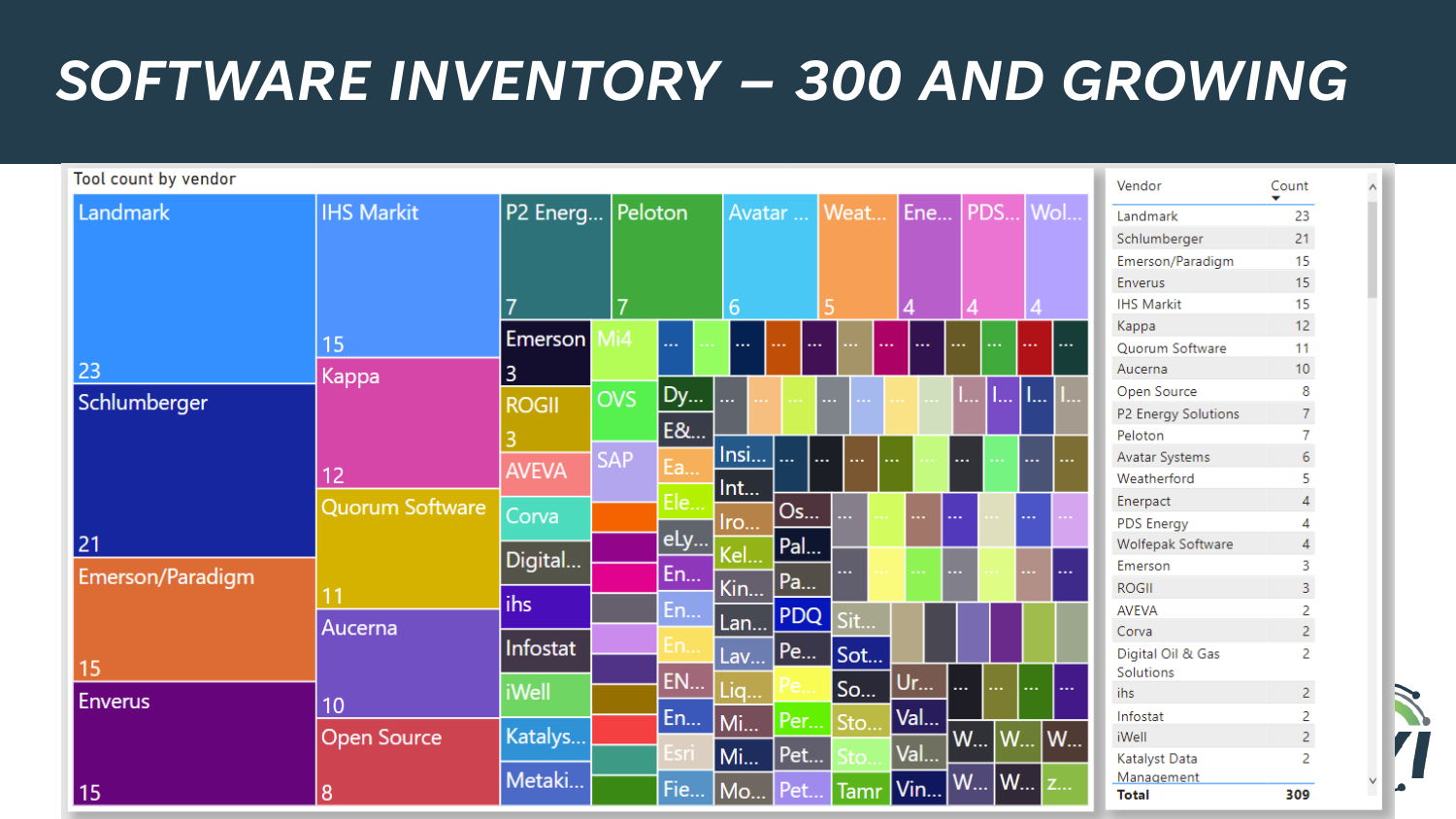#### *SOFTWARE INVENTORY – 300 AND GROWING*

| Tool count by vendor |                        |                    |            |     |        |                    |                 |     |              |                             | Vendor                         | Count           |
|----------------------|------------------------|--------------------|------------|-----|--------|--------------------|-----------------|-----|--------------|-----------------------------|--------------------------------|-----------------|
| Landmark             | <b>IHS Markit</b>      | P2 Energ   Peloton |            |     | Avatar |                    | Weat            | Ene |              | PDS Wol                     | Landmark                       | 23              |
|                      |                        |                    |            |     |        |                    |                 |     |              |                             | Schlumberger                   | 21              |
|                      |                        |                    |            |     |        |                    |                 |     |              |                             | Emerson/Paradigm               | 15              |
|                      |                        |                    |            |     |        |                    |                 |     |              |                             | Enverus                        | 15              |
|                      |                        |                    | 7          |     | 6      |                    |                 |     |              |                             | <b>IHS Markit</b>              | 15              |
|                      |                        |                    |            |     |        |                    |                 |     |              |                             | Kappa                          | 12 <sub>2</sub> |
|                      | 15                     | <b>Emerson</b>     | Mi4        |     |        |                    |                 |     | <br>         | $\sim$ $\sim$<br>           | Quorum Software                | 11              |
| 23                   | Kappa                  | 3                  |            |     |        |                    |                 |     |              |                             | Aucerna                        | 10 <sub>1</sub> |
| Schlumberger<br>21   |                        |                    | <b>OVS</b> | Dy  | 444    |                    |                 |     | <b>L.</b>    | $L_{\rm{m}}$<br>1. <b>.</b> | Open Source                    | 8               |
|                      |                        | <b>ROGII</b>       |            |     |        |                    |                 |     |              |                             | P2 Energy Solutions            |                 |
|                      |                        |                    |            | E&  |        |                    |                 |     |              |                             | Peloton                        |                 |
|                      |                        | <b>AVEVA</b>       | <b>SAP</b> | Ea  | Insi   | $\sim$<br>$\cdots$ |                 |     |              |                             | Avatar Systems                 | 6               |
|                      | 12                     |                    |            |     | Int    |                    |                 |     |              |                             | Weatherford                    |                 |
|                      | <b>Quorum Software</b> | Corva              |            | Ele |        | Os                 | 44              |     |              |                             | Enerpact                       |                 |
|                      |                        |                    |            |     | Iro    |                    |                 |     |              | .                           | <b>PDS Energy</b>              |                 |
|                      |                        | Digital            |            | eLy | Kel    | Pal                |                 |     |              |                             | Wolfepak Software              |                 |
| Emerson/Paradigm     |                        |                    |            | En  |        |                    |                 |     |              | $\sim$                      | Emerson                        | 3               |
|                      |                        | ihs                |            |     | Kin    | Pa                 |                 |     |              |                             | <b>ROGII</b>                   | 3               |
|                      |                        |                    |            | En  | Lan    | <b>PDQ</b>         | Sit             |     |              |                             | <b>AVEVA</b>                   | 2               |
|                      | Aucerna                | Infostat           |            | En  |        |                    |                 |     |              |                             | Corva                          | $\overline{2}$  |
| 15                   |                        |                    |            |     | Lav    | Pe                 | Sot             |     |              |                             | Digital Oil & Gas<br>Solutions | $\overline{2}$  |
|                      | 10                     | <b>iWell</b>       |            | EN  | Liq    |                    | So              | Ur  | <br>$\sim$   | $\cdots$<br>$\sim 100$      | ihs                            | $\overline{2}$  |
| <b>Enverus</b>       |                        |                    |            |     |        |                    |                 |     |              |                             | Infostat                       | $\overline{2}$  |
|                      |                        | Katalys            |            | En  | Mi     | Per                | Sto             | Val |              |                             | iWell                          | $\overline{2}$  |
|                      | <b>Open Source</b>     |                    |            |     | Mi     | Pet                |                 | Val | $W_{\cdots}$ | W<br>$\mathsf{W}_{\cdots}$  | Katalyst Data                  | 2               |
|                      |                        | Metaki             |            |     |        |                    |                 |     |              |                             | Management                     |                 |
| 15                   | 8                      |                    |            |     |        |                    | Fie Mo Pet Tamr | Vin | W   W        | Z                           | <b>Total</b>                   | 309             |

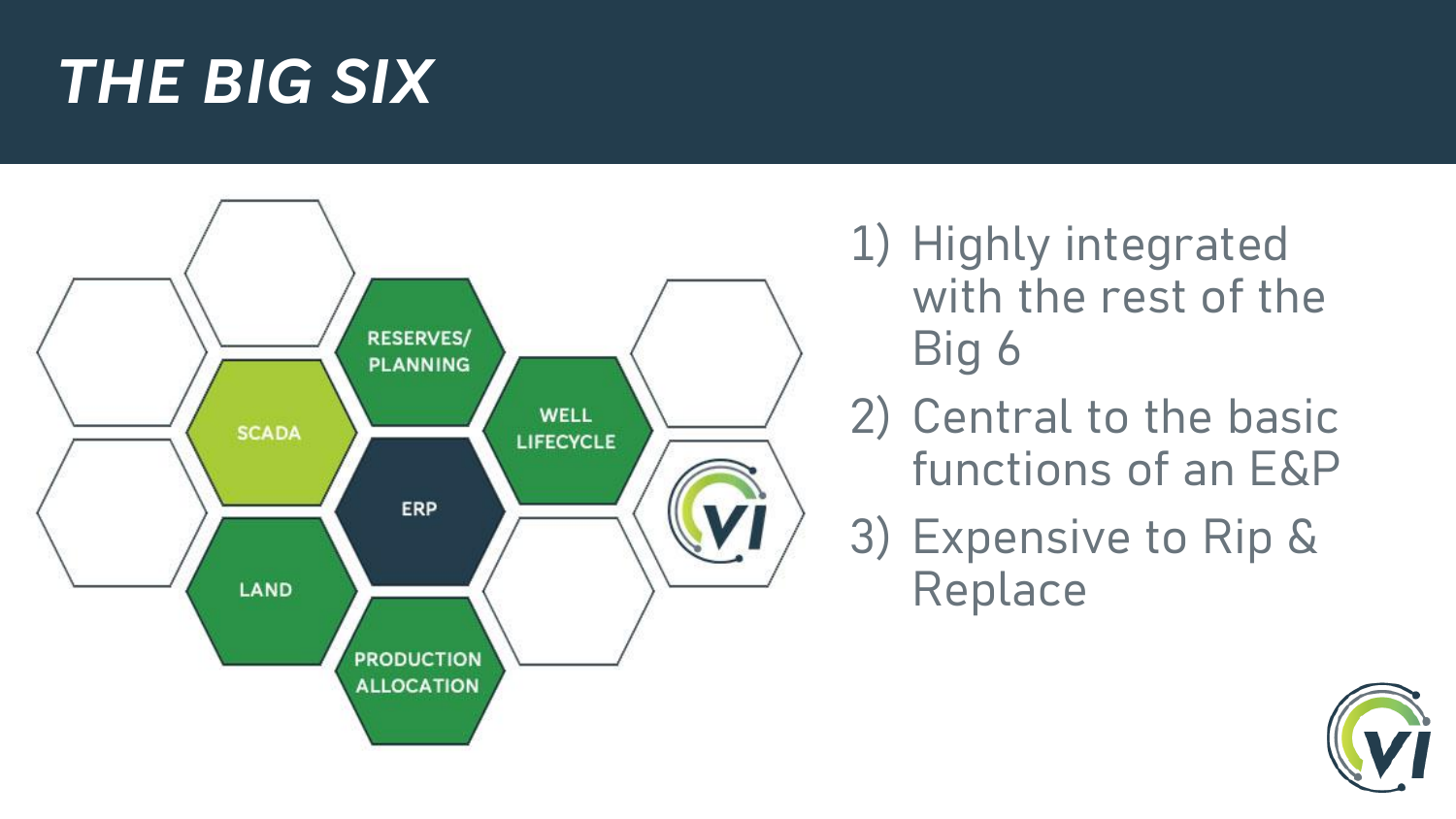#### *THE BIG SIX*



1) Highly integrated with the rest of the Big 6

- 2) Central to the basic functions of an E&P
- 3) Expensive to Rip & Replace

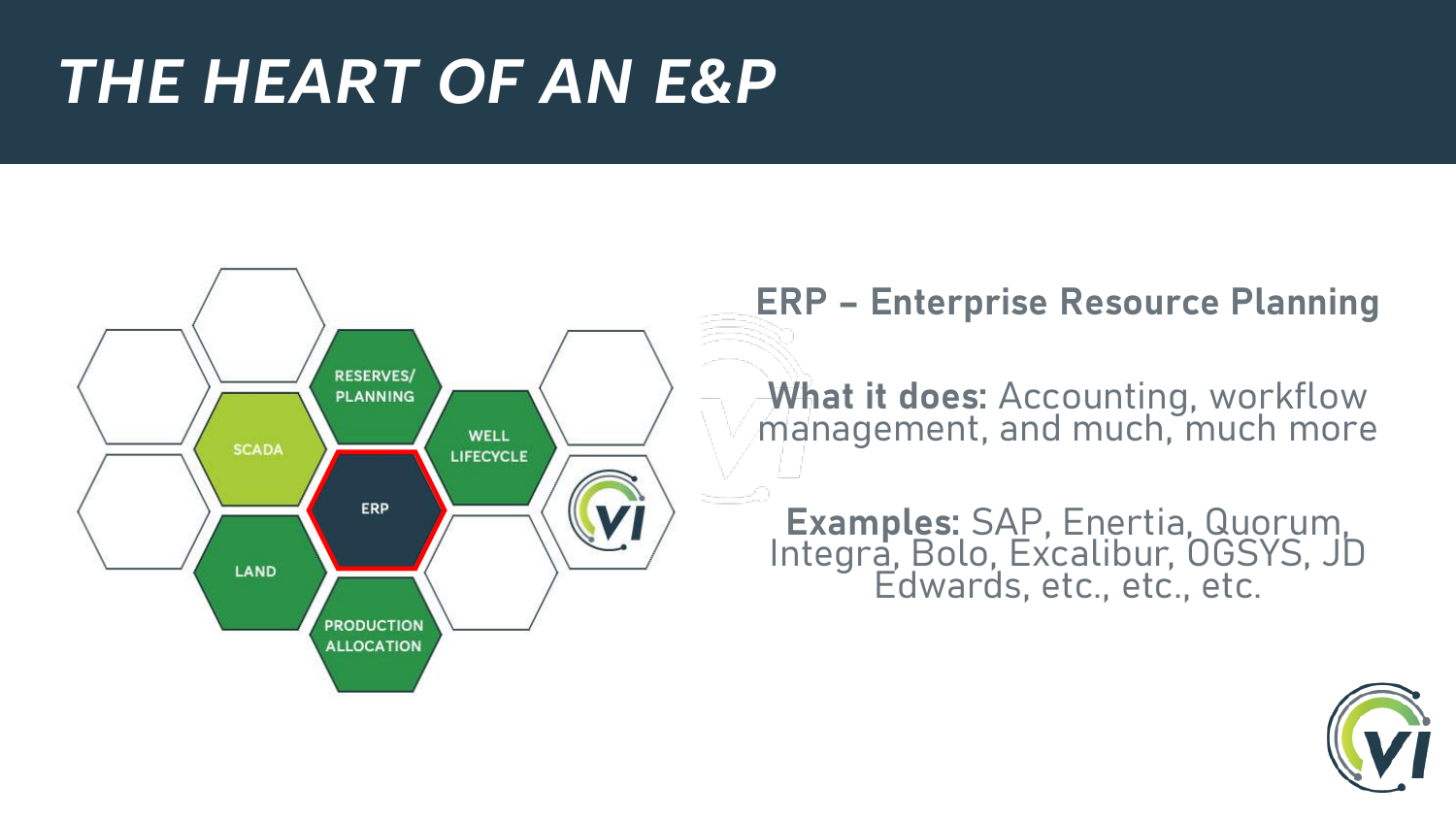#### *THE HEART OF AN E&P*



#### **ERP – Enterprise Resource Planning**

**What it does:** Accounting, workflow management, and much, much more

**Examples:** SAP, Enertia, Quorum, Integra, Bolo, Excalibur, OGSYS, JD Edwards, etc., etc., etc.

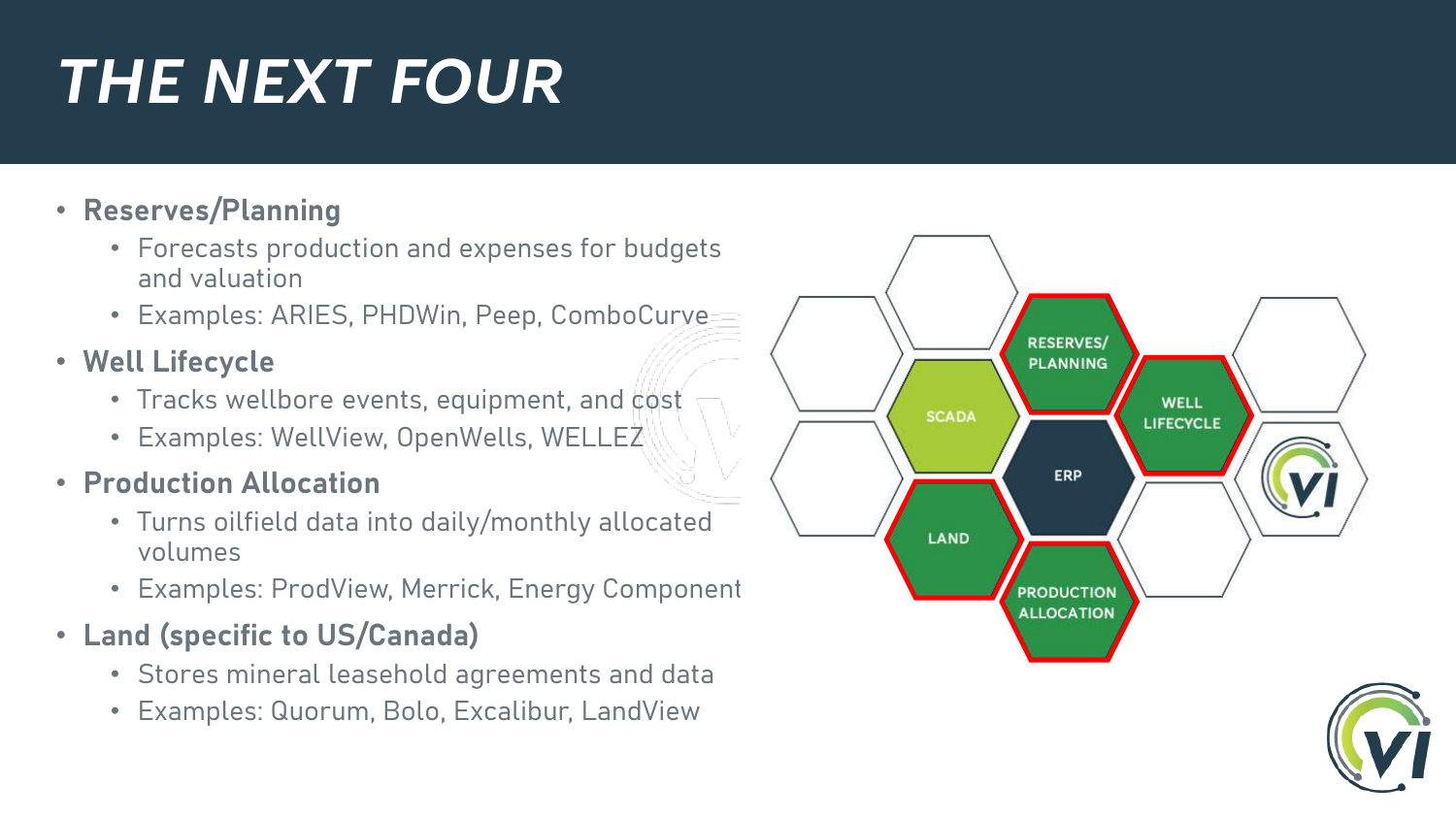## *THE NEXT FOUR*

#### • **Reserves/Planning**

- Forecasts production and expenses for budgets and valuation
- Examples: ARIES, PHDWin, Peep, ComboCurve
- **Well Lifecycle**
	- Tracks wellbore events, equipment, and cost
	- Examples: WellView, OpenWells, WELLEZ

#### • **Production Allocation**

- Turns oilfield data into daily/monthly allocated volumes
- Examples: ProdView, Merrick, Energy Component
- **Land (specific to US/Canada)**
	- Stores mineral leasehold agreements and data
	- Examples: Quorum, Bolo, Excalibur, LandView



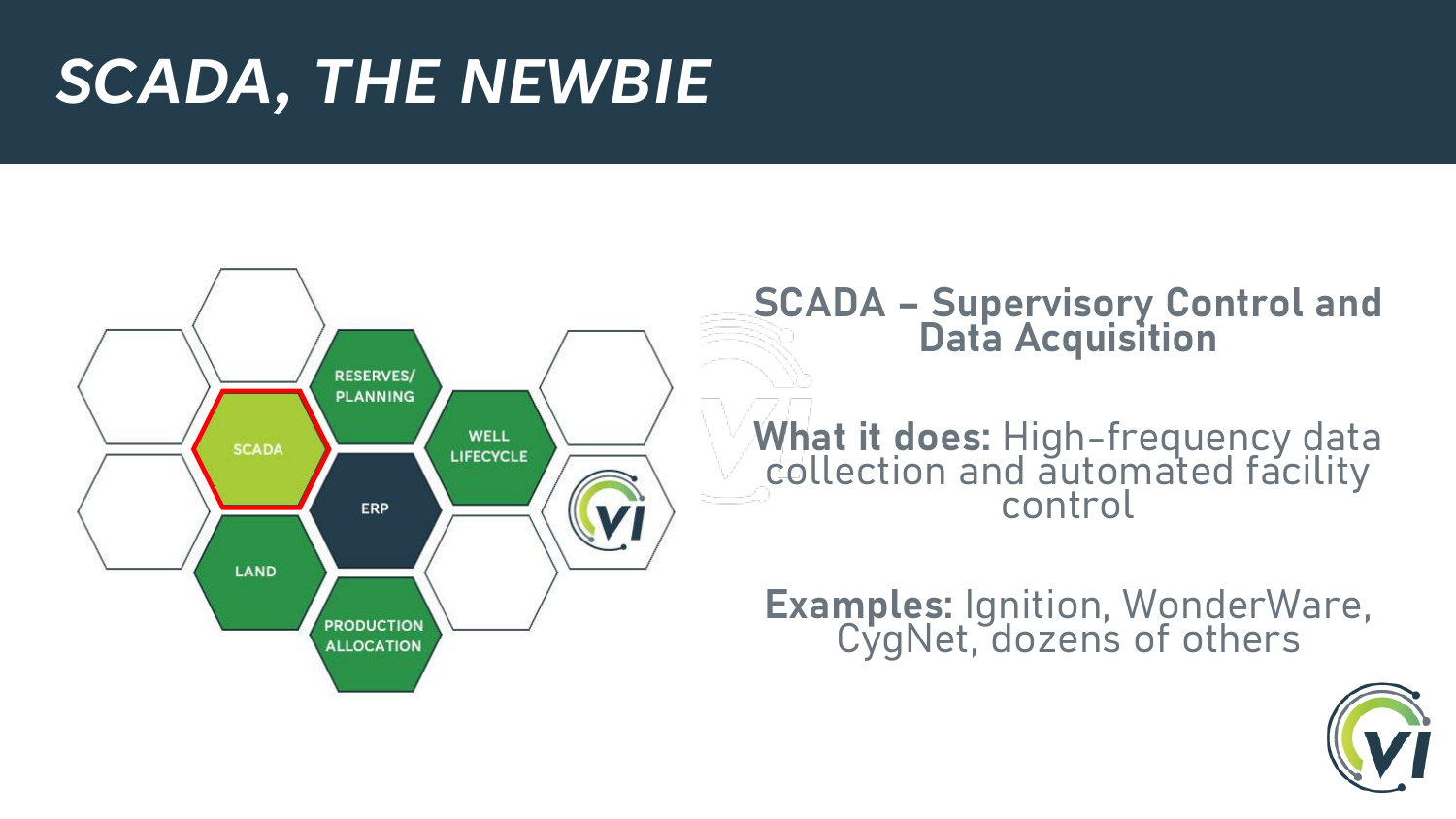#### *SCADA, THE NEWBIE*



#### **SCADA – Supervisory Control and Data Acquisition**

**What it does:** High-frequency data collection and automated facility control

**Examples:** Ignition, WonderWare, CygNet, dozens of others

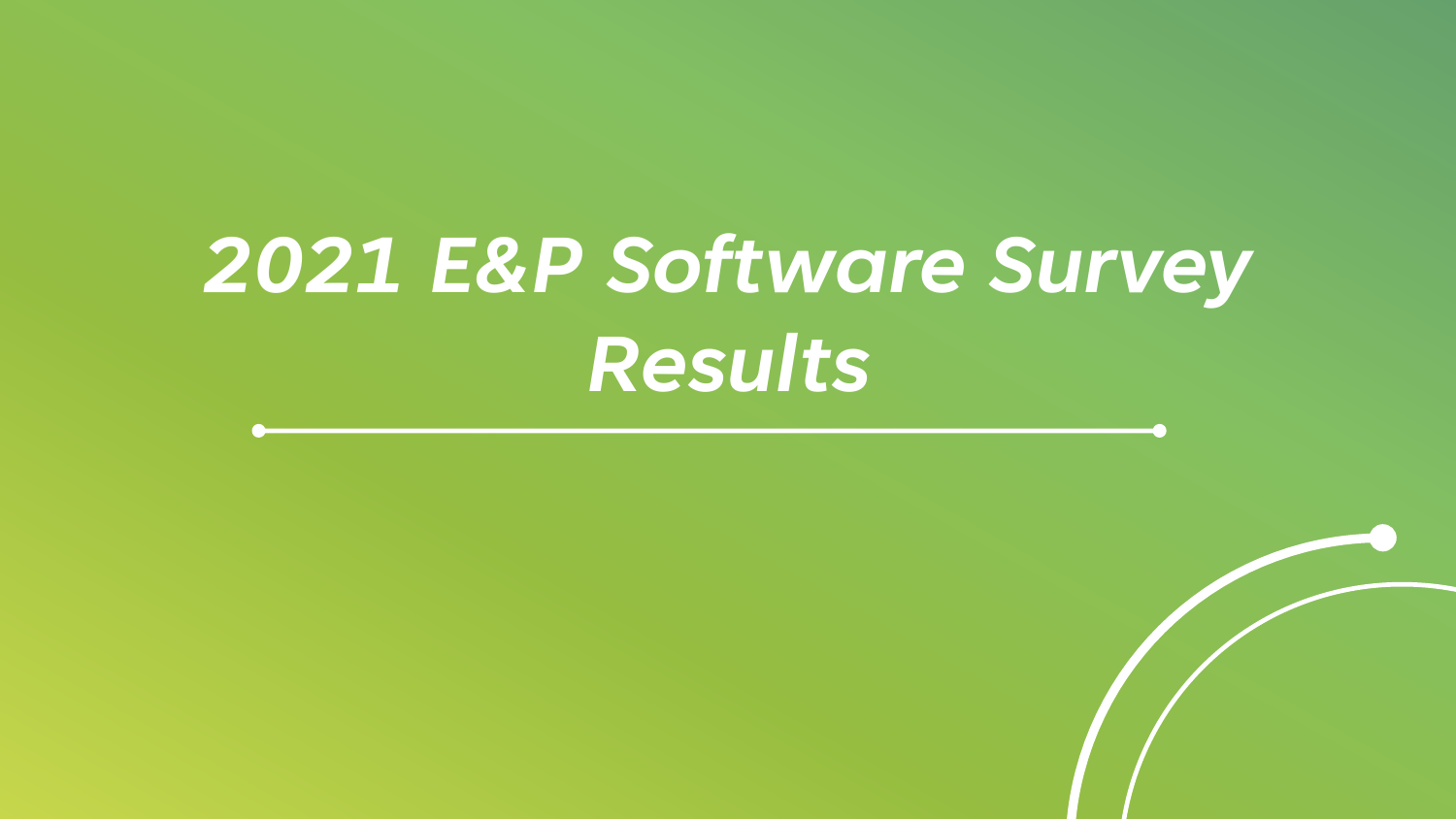# *2021 E&P Software Survey Results*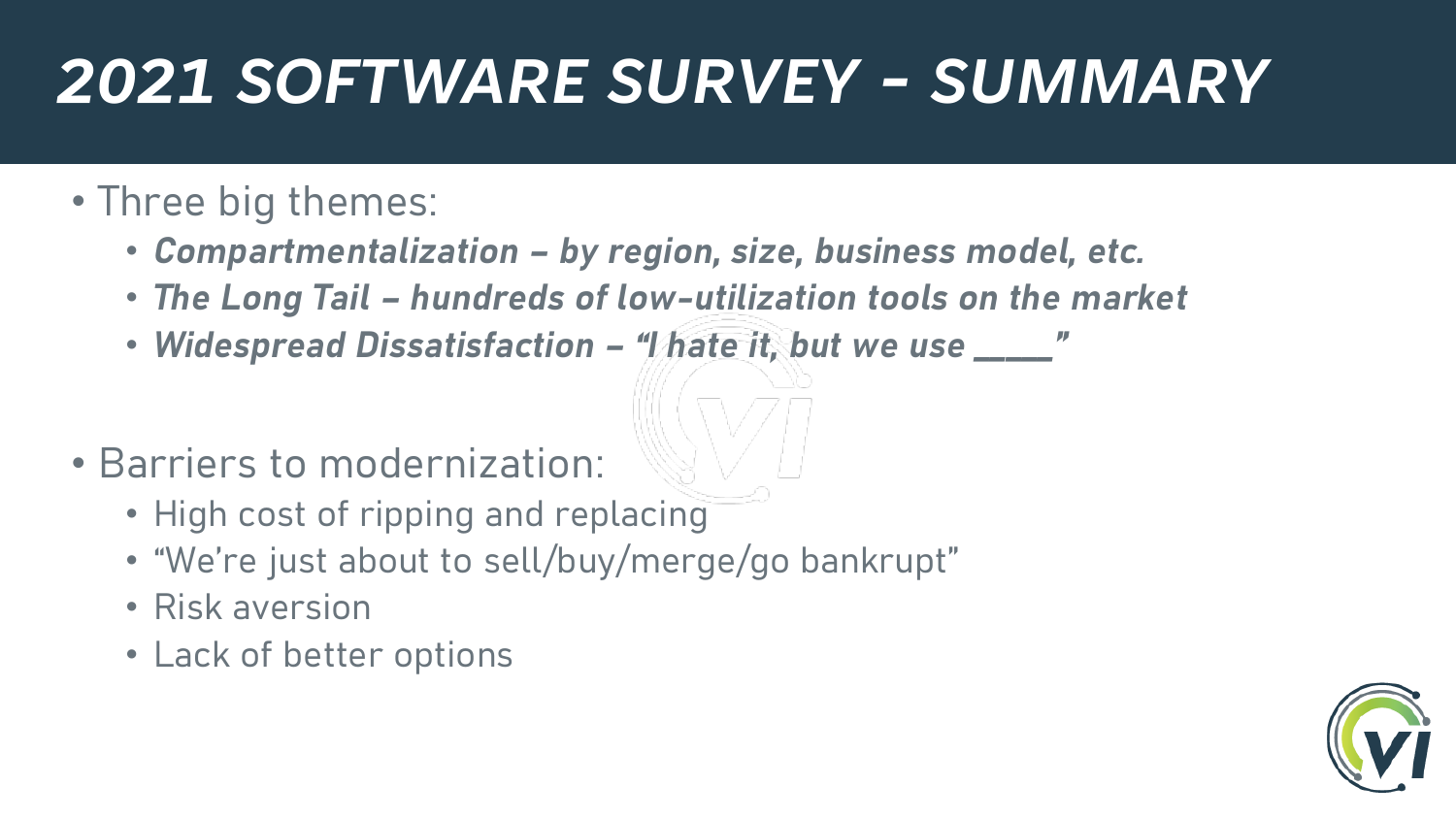## *2021 SOFTWARE SURVEY - SUMMARY*

#### • Three big themes:

- *Compartmentalization – by region, size, business model, etc.*
- *The Long Tail – hundreds of low-utilization tools on the market*
- *Widespread Dissatisfaction – "I hate it, but we use \_\_\_\_\_"*
- Barriers to modernization:
	- High cost of ripping and replacing
	- "We're just about to sell/buy/merge/go bankrupt"
	- Risk aversion
	- Lack of better options

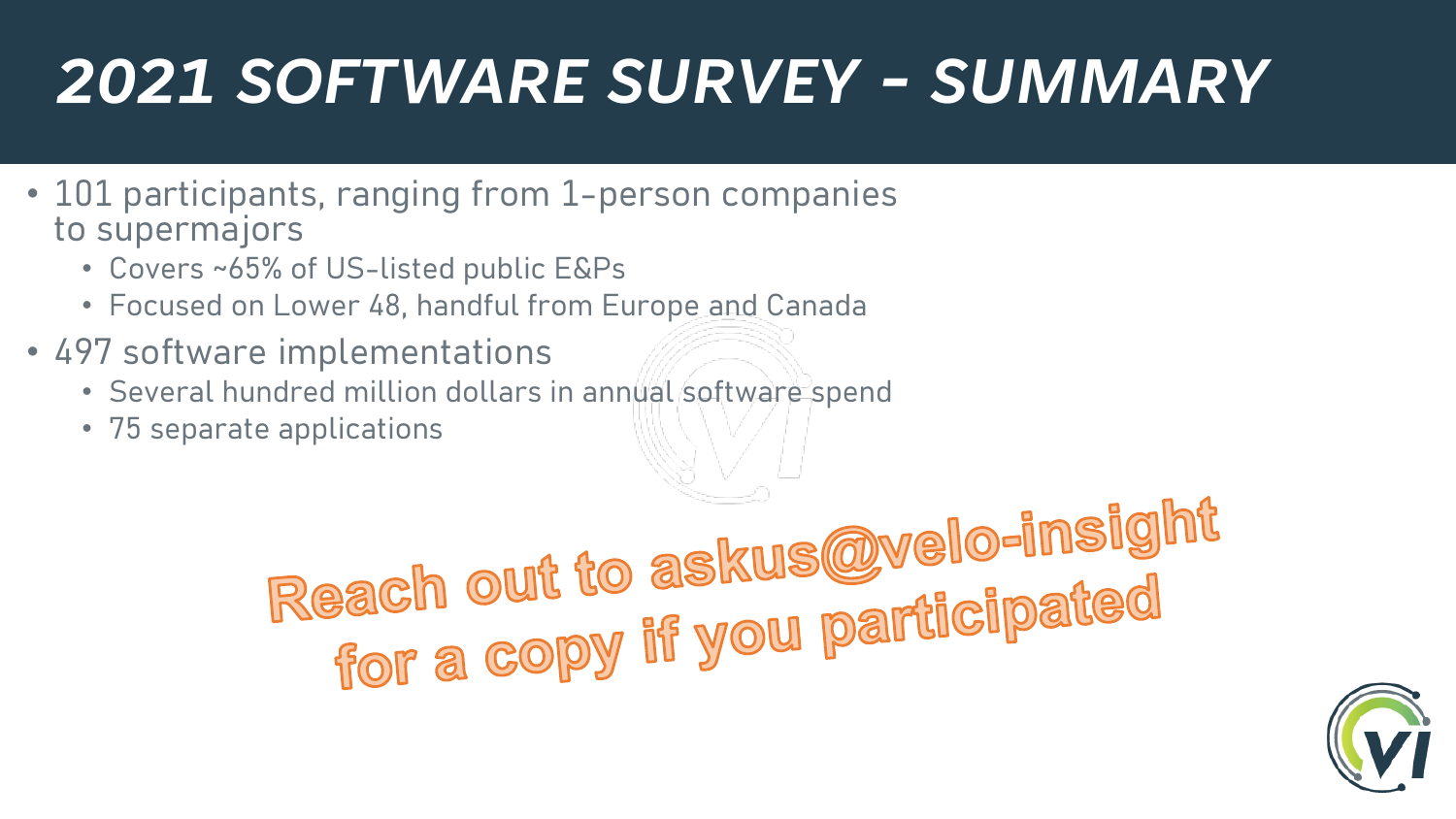## *2021 SOFTWARE SURVEY - SUMMARY*

- 101 participants, ranging from 1-person companies to supermajors
	- Covers ~65% of US-listed public E&Ps
	- Focused on Lower 48, handful from Europe and Canada
- 497 software implementations
	- Several hundred million dollars in annual software spend
	- 75 separate applications

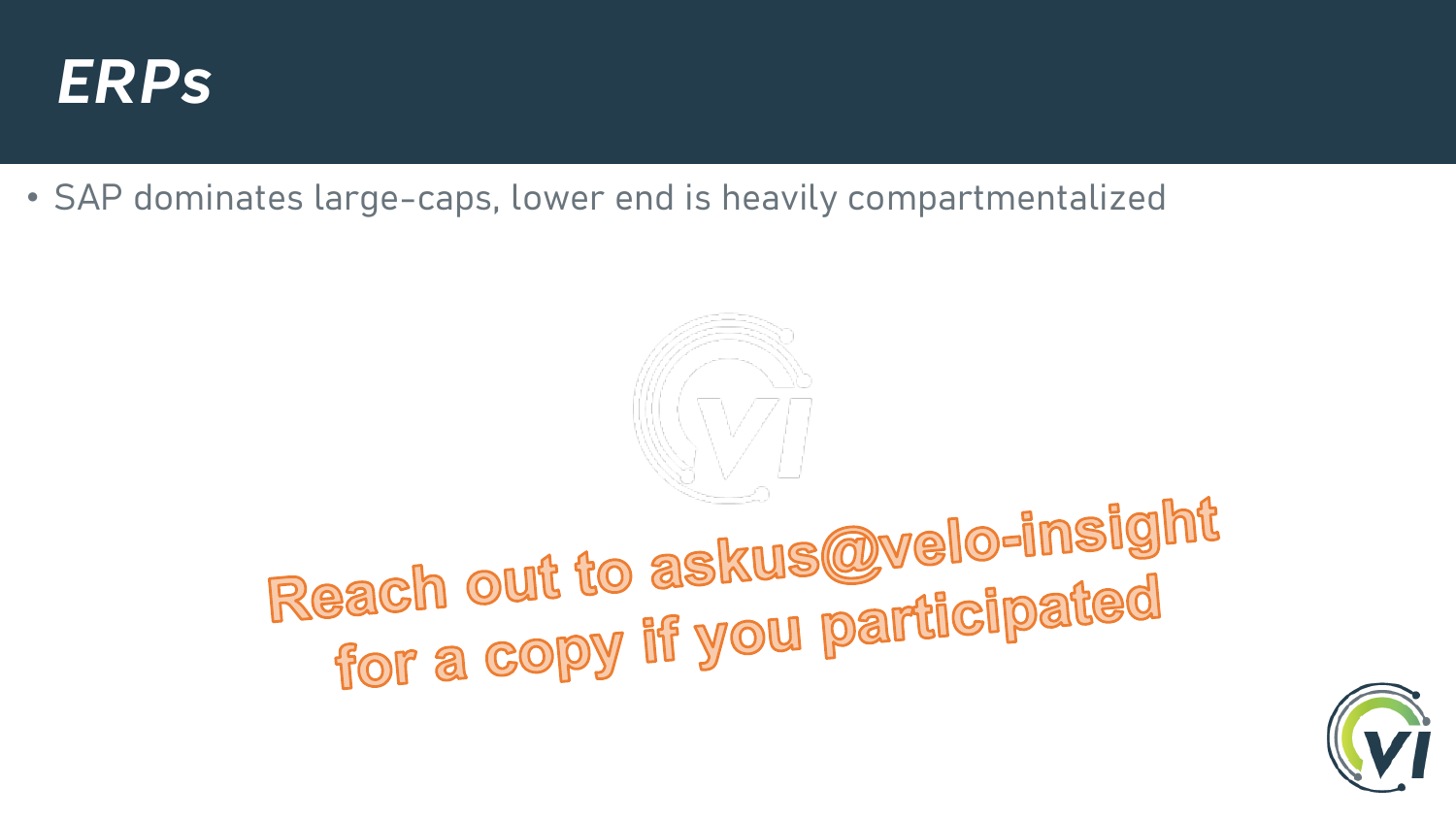

• SAP dominates large-caps, lower end is heavily compartmentalized

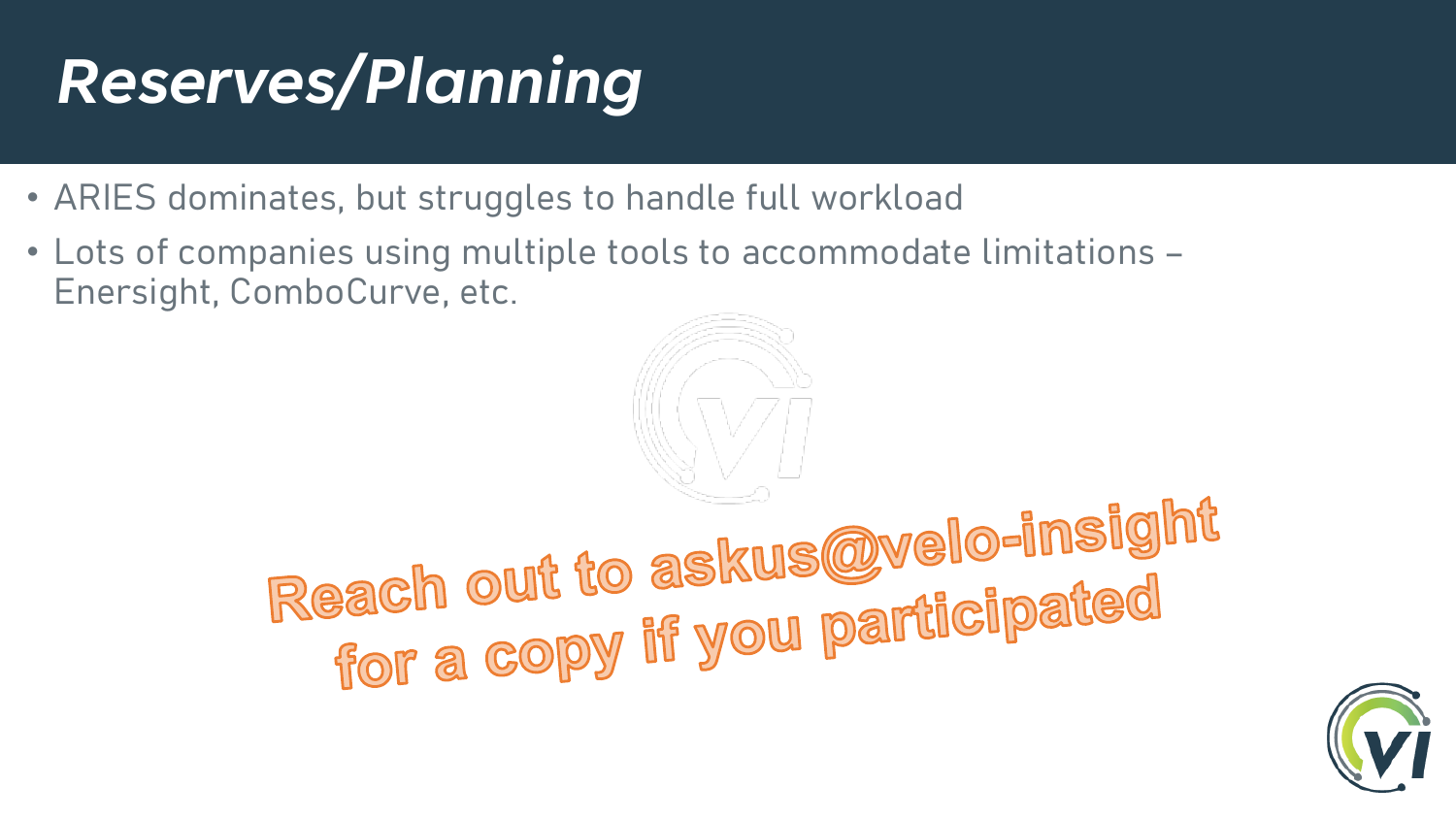## *Reserves/Planning*

- ARIES dominates, but struggles to handle full workload
- Lots of companies using multiple tools to accommodate limitations Enersight, ComboCurve, etc.

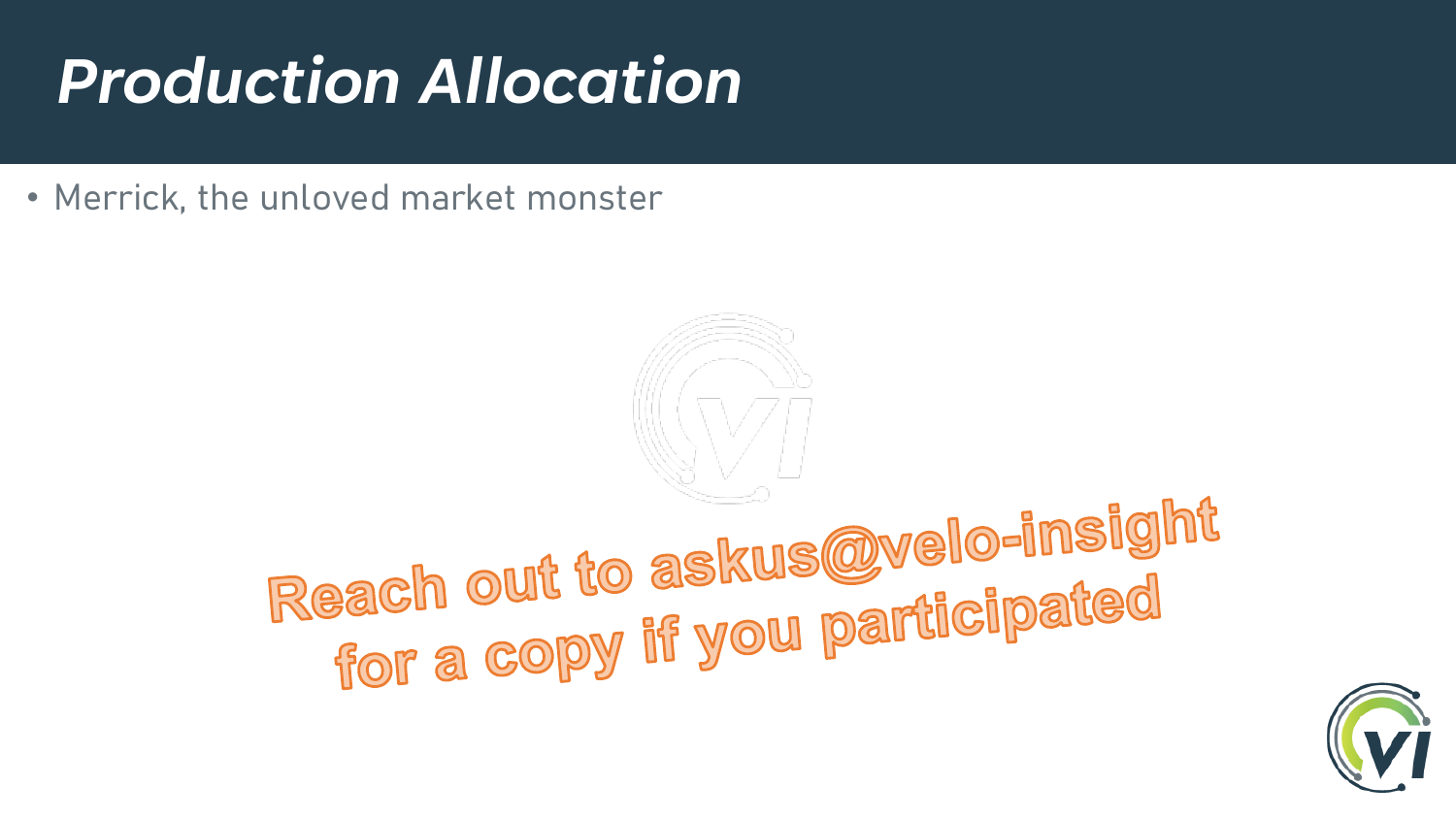## *Production Allocation*

• Merrick, the unloved market monster

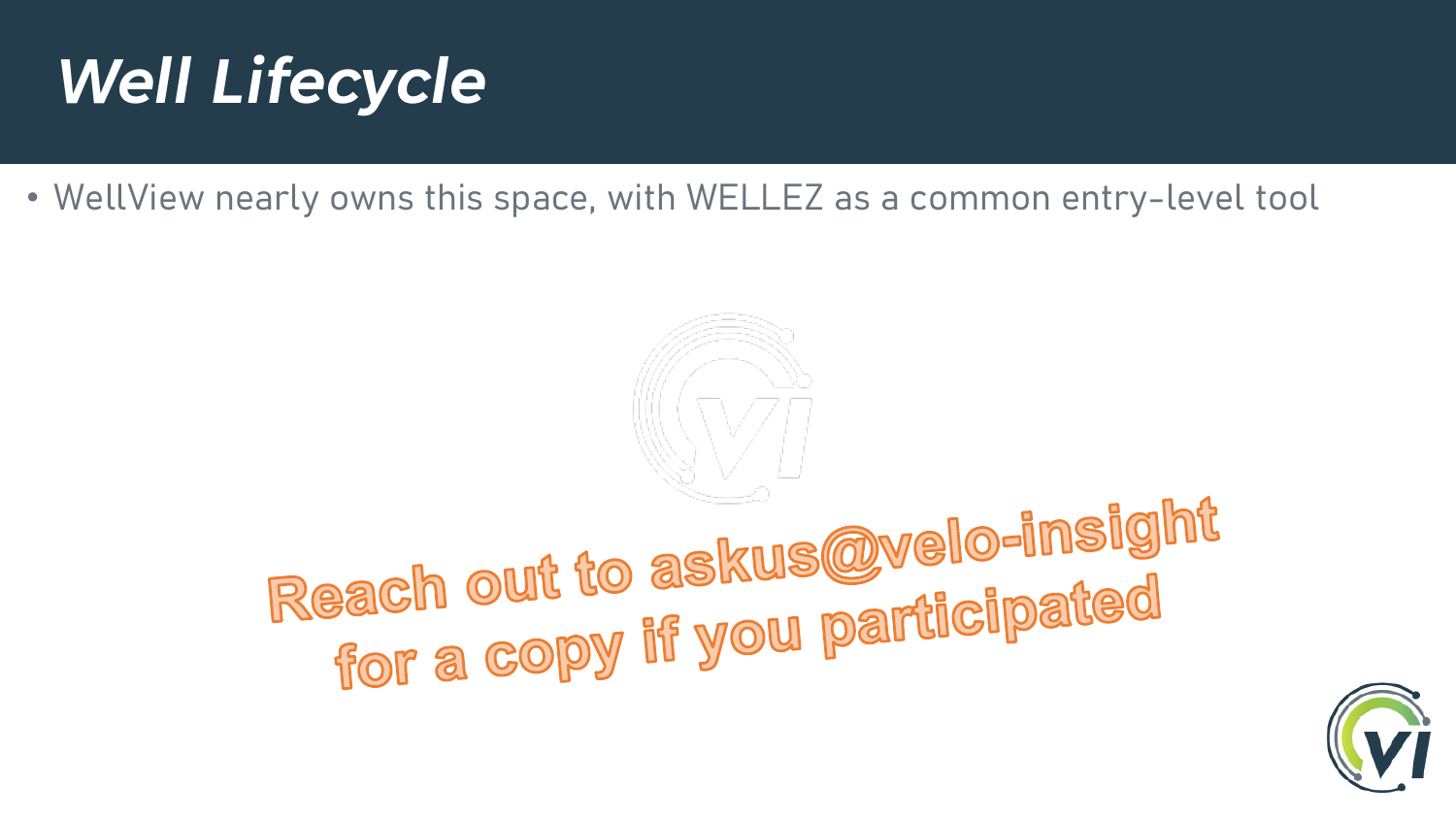## *Well Lifecycle*

• WellView nearly owns this space, with WELLEZ as a common entry-level tool

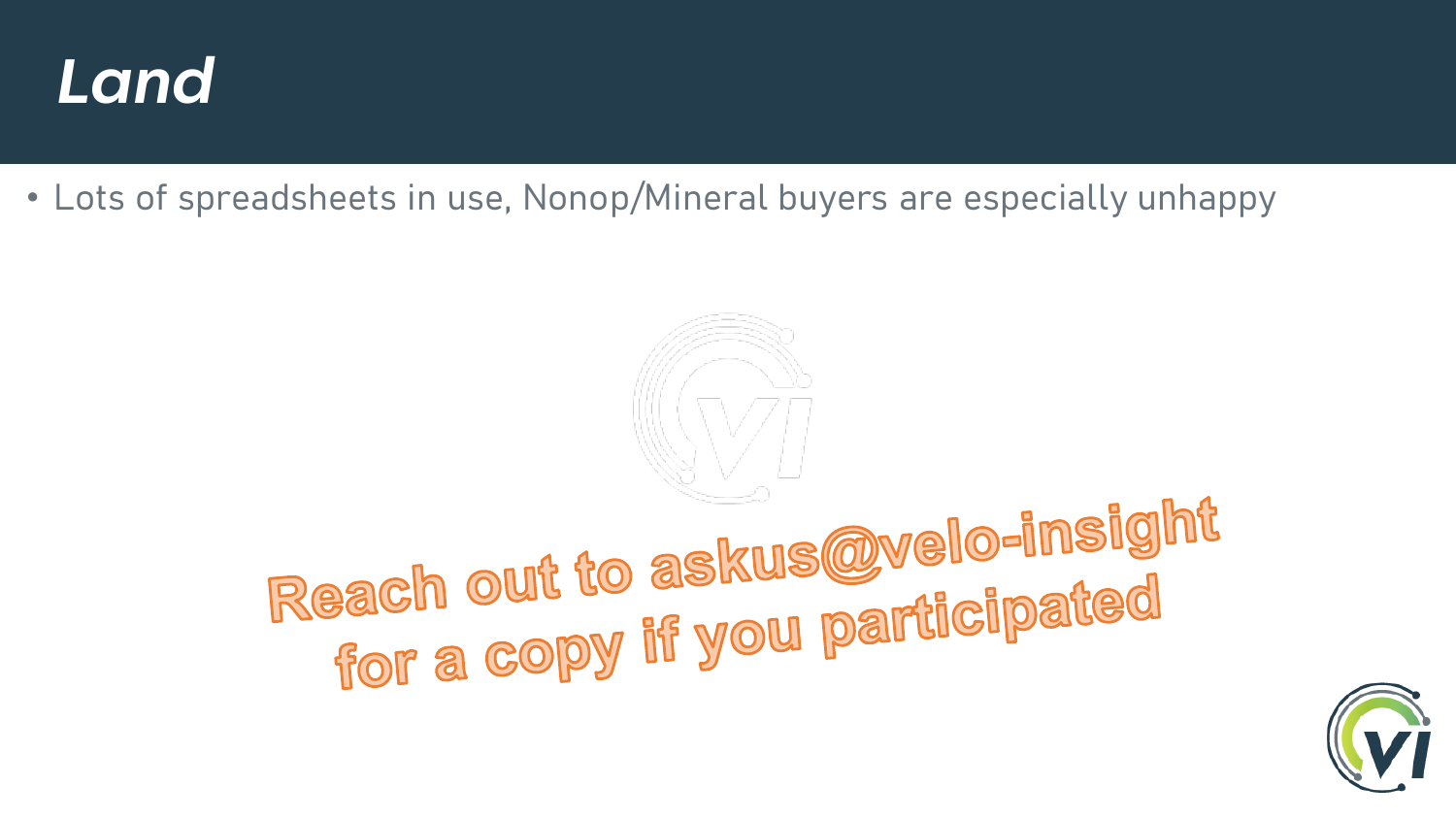

• Lots of spreadsheets in use, Nonop/Mineral buyers are especially unhappy

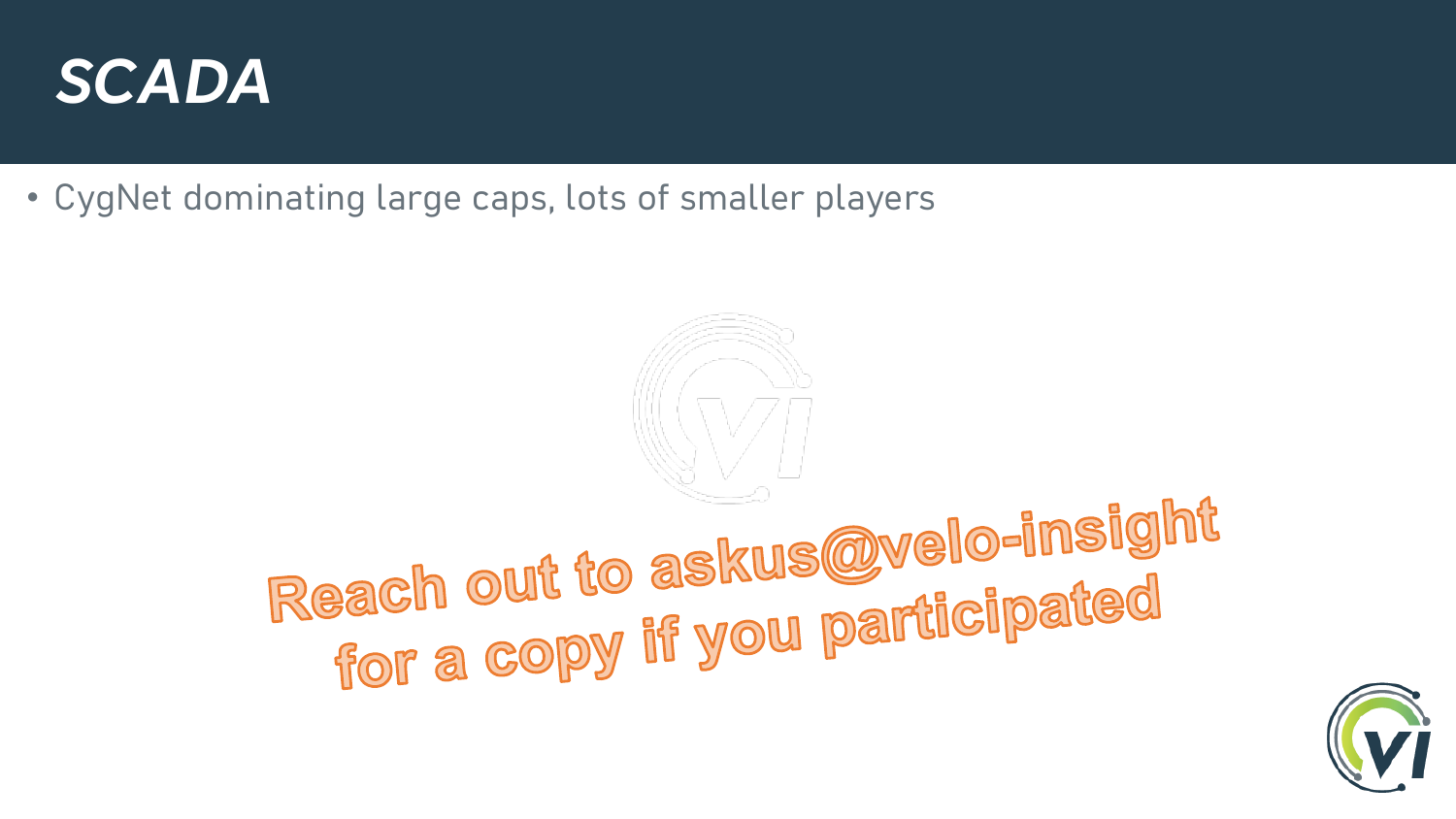

• CygNet dominating large caps, lots of smaller players

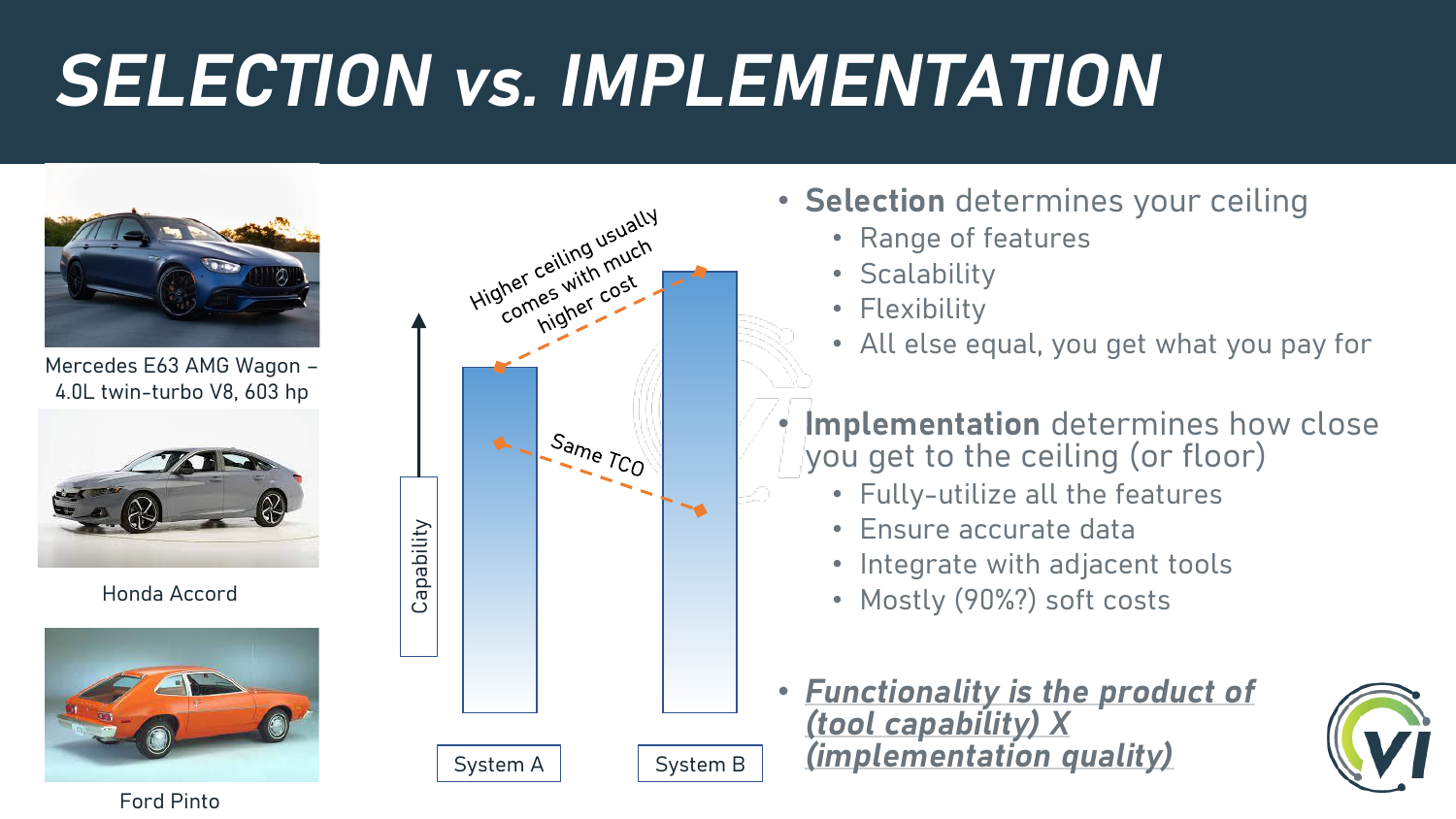## *SELECTION vs. IMPLEMENTATION*



Mercedes E63 AMG Wagon – 4.0L twin-turbo V8, 603 hp



Honda Accord





- **Selection** determines your ceiling
	- Range of features
	- Scalability
	- Flexibility
	- All else equal, you get what you pay for
- **Implementation** determines how close you get to the ceiling (or floor)
	- Fully-utilize all the features
	- Ensure accurate data
	- Integrate with adjacent tools
	- Mostly (90%?) soft costs
- *Functionality is the product of (tool capability) X (implementation quality)*



Ford Pinto